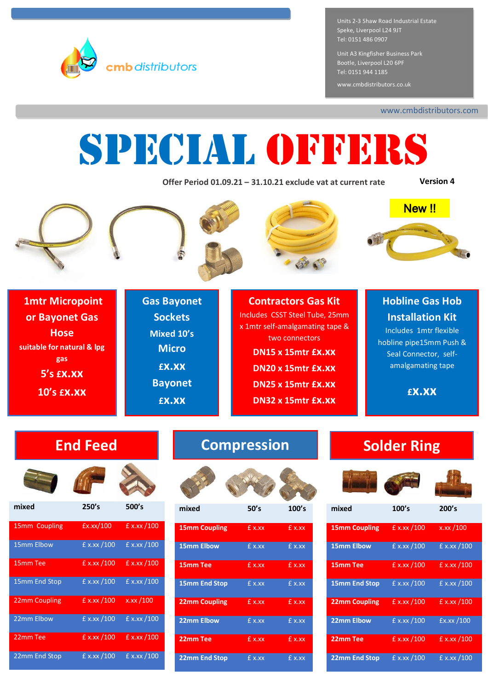

Units 2-3 Shaw Road Industrial Estate Speke, Liverpool L24 9JT Tel: 0151 486 0907

Unit A3 Kingfisher Business Park Bootle, Liverpool L20 6PF Tel: 0151 944 1185

www.cmbdistributors.co.uk

www.cmbdistributors.com

# SPECIAL OFFERS

**Offer Period 01.09.21 – 31.10.21 exclude vat at current rate**

**Version 4**









**1mtr Micropoint or Bayonet Gas Hose suitable for natural & lpg gas 5's £x.xx 10's £x.xx**

**Gas Bayonet Sockets Mixed 10's Micro £x.xx Bayonet £x.xx**

#### **Contractors Gas Kit** Includes CSST Steel Tube, 25mm x 1mtr self-amalgamating tape & two connectors **DN15 x 15mtr £x.xx DN20 x 15mtr £x.xx DN25 x 15mtr £x.xx DN32 x 15mtr £x.xx**

## **Hobline Gas Hob Installation Kit**

Includes 1mtr flexible hobline pipe15mm Push & Seal Connector, selfamalgamating tape

**£x.xx**



**mixed 250's 500's**

15mm Coupling £x.xx/100 £ x.xx /100

15mm Elbow £ x.xx /100 £ x.xx /100

15mm Tee  $f(x, x)$  100  $f(x, x)$  100

15mm End Stop £ x.xx /100 £ x.xx /100

22mm Coupling £ x.xx /100 x.xx /100

22mm Elbow £ x.xx /100 £ x.xx /100

22mm Tee  $f x.xx / 100$   $f x.xx / 100$ 

22mm End Stop £ x.xx / 100 £ x.xx / 100













| <b>15mm Coupling</b> | £ x.xx | £ x.xx |
|----------------------|--------|--------|
| <b>15mm Elbow</b>    | £ x.xx | Ex.xx  |
| 15mm Tee             | £ x.xx | £ x.xx |
| <b>15mm End Stop</b> | £ x.xx | £ x.xx |
| <b>22mm Coupling</b> | Ex.xx  | Ex.xx  |
| <b>22mm Elbow</b>    | £ x.xx | £ x.xx |
| 22mm Tee             | £ x.xx | £ x.xx |
| <b>22mm End Stop</b> | £ x.xx | £ x.xx |

# **End Feed Compression | Solder Ring**





| mixed                | 100's         | 200's         |
|----------------------|---------------|---------------|
| <b>15mm Coupling</b> | $E$ x.xx /100 | x.xx /100     |
| <b>15mm Elbow</b>    | $E$ x.xx /100 | $E$ x.xx /100 |
| 15mm Tee             | £ x.xx /100   | £ x.xx /100   |
| <b>15mm End Stop</b> | $E$ x.xx /100 | $E$ x.xx /100 |
| <b>22mm Coupling</b> | $E$ x.xx /100 | $E$ x.xx /100 |
| <b>22mm Elbow</b>    | $E$ x.xx /100 | Ex.xx/100     |
| 22mm Tee             | $E$ x.xx /100 | £ x.xx /100   |
| <b>22mm End Stop</b> | $E$ x.xx /100 | $E$ x.xx /100 |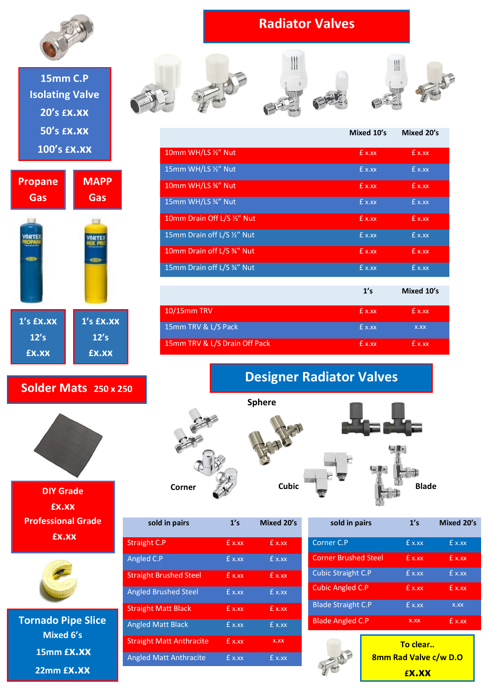

## **15mm C.P Isolating Valve 20's £x.xx 50's £x.xx 100's £x.xx**



### **Solder Mats 250 x 250**



**DIY Grade £x.xx Professional Grade £x.xx**



**Tornado Pipe Slice Mixed 6's 15mm £x.xx 22mm £x.xx**

# **Radiator Valves**











|                               | Mixed 10's | Mixed 20's |
|-------------------------------|------------|------------|
| 10mm WH/LS 1/2" Nut           | £ x.xx     | £ x.xx     |
| 15mm WH/LS 1/2" Nut           | £ x.xx     | £ x.xx     |
| 10mm WH/LS 34" Nut            | £ x.xx     | £ x.xx     |
| 15mm WH/LS 34" Nut            | £ x.xx     | £ x.xx     |
| 10mm Drain Off L/S 1/2" Nut   | £ x.xx     | £ x.xx     |
| 15mm Drain off L/S 1/2" Nut   | £ x.xx     | £ x.xx     |
| 10mm Drain off L/S 34" Nut    | £ x.xx     | £ x.xx     |
| 15mm Drain off L/S 34" Nut    | £ x.xx     | $E$ x.xx   |
|                               | 1's        | Mixed 10's |
|                               |            |            |
| 10/15mm TRV                   | £ x.xx     | £ x.xx     |
| 15mm TRV & L/S Pack           | £ x.xx     | X.XX       |
| 15mm TRV & L/S Drain Off Pack | £ x.xx     | £ x.xx     |

# **Designer Radiator Valves**







| sold in pairs                   | 1's    | Mixed 20's |
|---------------------------------|--------|------------|
| <b>Straight C.P</b>             | £ x.xx | $f x$ x    |
| Angled C.P                      | £ x.xx | £ x.xx     |
| <b>Straight Brushed Steel</b>   | £ x.xx | £ x.xx     |
| <b>Angled Brushed Steel</b>     | £ x.xx | £ x.xx     |
| <b>Straight Matt Black</b>      | f x.xx | f x.x      |
| <b>Angled Matt Black</b>        | £ x.xx | £ x.xx     |
| <b>Straight Matt Anthracite</b> | £ x.xx | X.XX       |
| <b>Angled Matt Anthracite</b>   | £ x.xx | £ x.xx     |

| 1's     | Mixed 20's |
|---------|------------|
| £ x.xx  | £ x.xx     |
| f x.xx  | $f x$ x    |
| f(x,xx) | $E$ x.xx   |
| £ x.xx  | $f x$ x    |
| £ x.xx  | X.XX       |
| X.XX    | $E$ x.xx   |
|         |            |



**To clear.. 8mm Rad Valve c/w D.O £x.xx**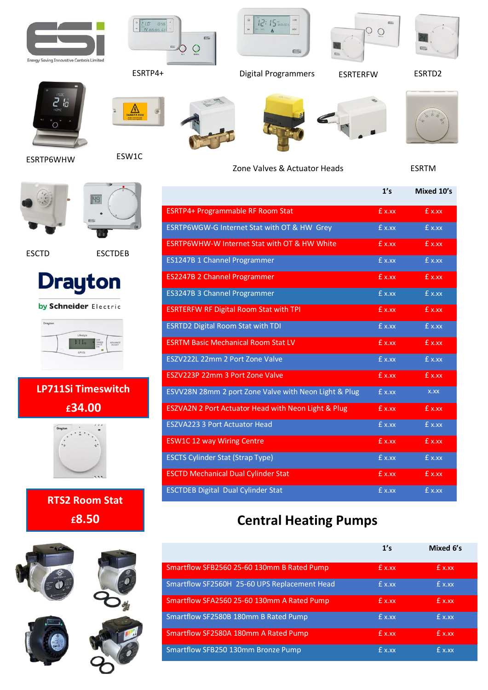



ESRTP4+ Digital Programmers ESRTERFW ESRTD2







 $12:15$  and  $12:15$ 

 $\equiv$ i



Zone Valves & Actuator Heads ESRTM



 $O$   $O$ 



ESRTP6WHW

ESW1C



ESCTD ESCTDEB



by Schneider Electric



# **LP711Si Timeswitch £34.00**



**RTS2 Room Stat £8.50**





|                                                         | 1's    | Mixed 10's |
|---------------------------------------------------------|--------|------------|
| <b>ESRTP4+ Programmable RF Room Stat</b>                | £ x.xx | £ x.xx     |
| ESRTP6WGW-G Internet Stat with OT & HW Grey             | £ x.xx | £ x.xx     |
| <b>ESRTP6WHW-W Internet Stat with OT &amp; HW White</b> | £ x.xx | £ x.xx     |
| ES1247B 1 Channel Programmer                            | £ x.xx | £ x.xx     |
| <b>ES2247B 2 Channel Programmer</b>                     | £ x.xx | £ x.xx     |
| ES3247B 3 Channel Programmer                            | £ x.xx | £ x.xx     |
| <b>ESRTERFW RF Digital Room Stat with TPI</b>           | £ x.xx | £ x.xx     |
| <b>ESRTD2 Digital Room Stat with TDI</b>                | £ x.xx | £ x.xx     |
| <b>ESRTM Basic Mechanical Room Stat LV</b>              | £ x.xx | £ x.xx     |
| ESZV222L 22mm 2 Port Zone Valve                         | £ x.xx | £ x.xx     |
| ESZV223P 22mm 3 Port Zone Valve                         | £ x.xx | £ x.xx     |
| ESVV28N 28mm 2 port Zone Valve with Neon Light & Plug   | £ x.xx | x.xx       |
| ESZVA2N 2 Port Actuator Head with Neon Light & Plug     | £ x.xx | £ x.xx     |
| <b>ESZVA223 3 Port Actuator Head</b>                    | £ x.xx | £ x.xx     |
| <b>ESW1C 12 way Wiring Centre</b>                       | £ x.xx | £ x.xx     |
| <b>ESCTS Cylinder Stat (Strap Type)</b>                 | £ x.xx | £ x.xx     |
| <b>ESCTD Mechanical Dual Cylinder Stat</b>              | £ x.xx | £ x.xx     |
| <b>ESCTDEB Digital Dual Cylinder Stat</b>               | £ x.xx | £ x.xx     |

# **Central Heating Pumps**

|                                              | 1's      | Mixed 6's |
|----------------------------------------------|----------|-----------|
| Smartflow SFB2560 25-60 130mm B Rated Pump   | £ x.xx   | £ x.xx    |
| Smartflow SF2560H 25-60 UPS Replacement Head | £ x.xx   | £ x.xx    |
| Smartflow SFA2560 25-60 130mm A Rated Pump   | $f x$ x  | $f x$ x   |
| Smartflow SF2580B 180mm B Rated Pump         | £ x.xx   | £ x.xx.   |
| Smartflow SF2580A 180mm A Rated Pump         | $E$ x.xx | $E$ x.xx  |
| Smartflow SFB250 130mm Bronze Pump           | $f x$ x  | $f x$ x   |